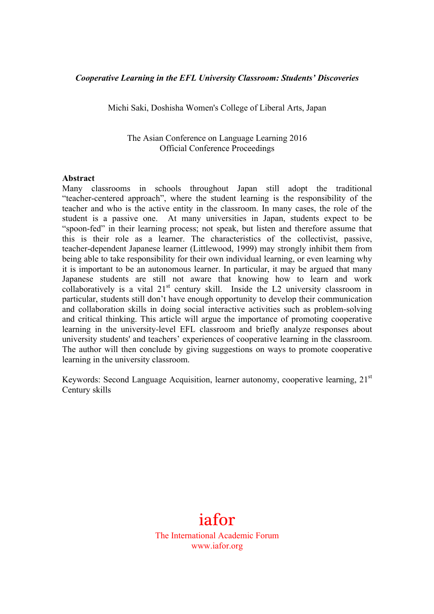#### *Cooperative Learning in the EFL University Classroom: Students' Discoveries*

Michi Saki, Doshisha Women's College of Liberal Arts, Japan

The Asian Conference on Language Learning 2016 Official Conference Proceedings

#### **Abstract**

Many classrooms in schools throughout Japan still adopt the traditional "teacher-centered approach", where the student learning is the responsibility of the teacher and who is the active entity in the classroom. In many cases, the role of the student is a passive one. At many universities in Japan, students expect to be "spoon-fed" in their learning process; not speak, but listen and therefore assume that this is their role as a learner. The characteristics of the collectivist, passive, teacher-dependent Japanese learner (Littlewood, 1999) may strongly inhibit them from being able to take responsibility for their own individual learning, or even learning why it is important to be an autonomous learner. In particular, it may be argued that many Japanese students are still not aware that knowing how to learn and work collaboratively is a vital  $21<sup>st</sup>$  century skill. Inside the L2 university classroom in particular, students still don't have enough opportunity to develop their communication and collaboration skills in doing social interactive activities such as problem-solving and critical thinking. This article will argue the importance of promoting cooperative learning in the university-level EFL classroom and briefly analyze responses about university students' and teachers' experiences of cooperative learning in the classroom. The author will then conclude by giving suggestions on ways to promote cooperative learning in the university classroom.

Keywords: Second Language Acquisition, learner autonomy, cooperative learning,  $21<sup>st</sup>$ Century skills

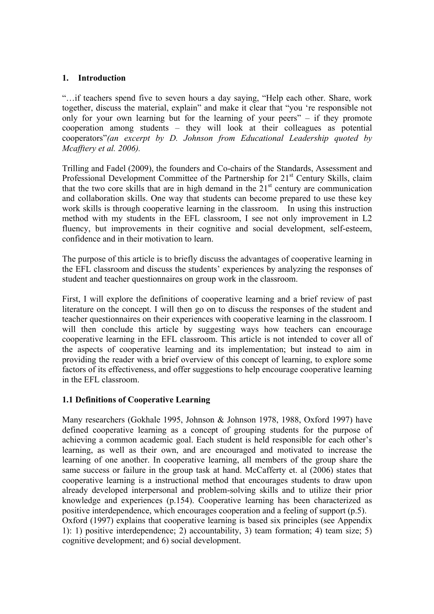### **1. Introduction**

"…if teachers spend five to seven hours a day saying, "Help each other. Share, work together, discuss the material, explain" and make it clear that "you 're responsible not only for your own learning but for the learning of your peers" – if they promote cooperation among students – they will look at their colleagues as potential cooperators"*(an excerpt by D. Johnson from Educational Leadership quoted by Mcafftery et al. 2006).*

Trilling and Fadel (2009), the founders and Co-chairs of the Standards, Assessment and Professional Development Committee of the Partnership for 21<sup>st</sup> Century Skills, claim that the two core skills that are in high demand in the  $21<sup>st</sup>$  century are communication and collaboration skills. One way that students can become prepared to use these key work skills is through cooperative learning in the classroom. In using this instruction method with my students in the EFL classroom, I see not only improvement in L2 fluency, but improvements in their cognitive and social development, self-esteem, confidence and in their motivation to learn.

The purpose of this article is to briefly discuss the advantages of cooperative learning in the EFL classroom and discuss the students' experiences by analyzing the responses of student and teacher questionnaires on group work in the classroom.

First, I will explore the definitions of cooperative learning and a brief review of past literature on the concept. I will then go on to discuss the responses of the student and teacher questionnaires on their experiences with cooperative learning in the classroom. I will then conclude this article by suggesting ways how teachers can encourage cooperative learning in the EFL classroom. This article is not intended to cover all of the aspects of cooperative learning and its implementation; but instead to aim in providing the reader with a brief overview of this concept of learning, to explore some factors of its effectiveness, and offer suggestions to help encourage cooperative learning in the EFL classroom.

### **1.1 Definitions of Cooperative Learning**

Many researchers (Gokhale 1995, Johnson & Johnson 1978, 1988, Oxford 1997) have defined cooperative learning as a concept of grouping students for the purpose of achieving a common academic goal. Each student is held responsible for each other's learning, as well as their own, and are encouraged and motivated to increase the learning of one another. In cooperative learning, all members of the group share the same success or failure in the group task at hand. McCafferty et. al (2006) states that cooperative learning is a instructional method that encourages students to draw upon already developed interpersonal and problem-solving skills and to utilize their prior knowledge and experiences (p.154). Cooperative learning has been characterized as positive interdependence, which encourages cooperation and a feeling of support (p.5). Oxford (1997) explains that cooperative learning is based six principles (see Appendix 1): 1) positive interdependence; 2) accountability, 3) team formation; 4) team size; 5) cognitive development; and 6) social development.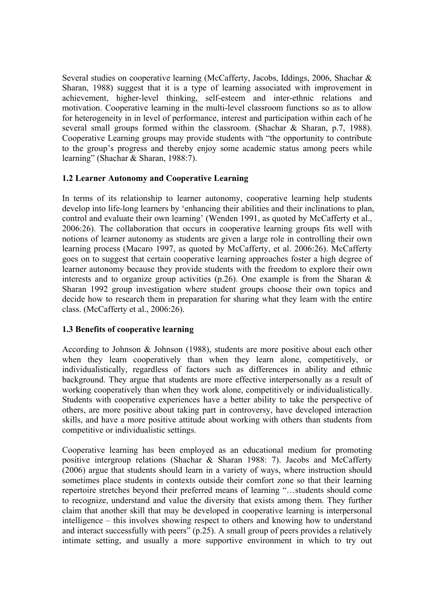Several studies on cooperative learning (McCafferty, Jacobs, Iddings, 2006, Shachar & Sharan, 1988) suggest that it is a type of learning associated with improvement in achievement, higher-level thinking, self-esteem and inter-ethnic relations and motivation. Cooperative learning in the multi-level classroom functions so as to allow for heterogeneity in in level of performance, interest and participation within each of he several small groups formed within the classroom. (Shachar & Sharan, p.7, 1988). Cooperative Learning groups may provide students with "the opportunity to contribute to the group's progress and thereby enjoy some academic status among peers while learning" (Shachar & Sharan, 1988:7).

## **1.2 Learner Autonomy and Cooperative Learning**

In terms of its relationship to learner autonomy, cooperative learning help students develop into life-long learners by 'enhancing their abilities and their inclinations to plan, control and evaluate their own learning' (Wenden 1991, as quoted by McCafferty et al., 2006:26). The collaboration that occurs in cooperative learning groups fits well with notions of learner autonomy as students are given a large role in controlling their own learning process (Macaro 1997, as quoted by McCafferty, et al. 2006:26). McCafferty goes on to suggest that certain cooperative learning approaches foster a high degree of learner autonomy because they provide students with the freedom to explore their own interests and to organize group activities (p.26). One example is from the Sharan  $\&$ Sharan 1992 group investigation where student groups choose their own topics and decide how to research them in preparation for sharing what they learn with the entire class. (McCafferty et al., 2006:26).

# **1.3 Benefits of cooperative learning**

According to Johnson & Johnson (1988), students are more positive about each other when they learn cooperatively than when they learn alone, competitively, or individualistically, regardless of factors such as differences in ability and ethnic background. They argue that students are more effective interpersonally as a result of working cooperatively than when they work alone, competitively or individualistically. Students with cooperative experiences have a better ability to take the perspective of others, are more positive about taking part in controversy, have developed interaction skills, and have a more positive attitude about working with others than students from competitive or individualistic settings.

Cooperative learning has been employed as an educational medium for promoting positive intergroup relations (Shachar & Sharan 1988: 7). Jacobs and McCafferty (2006) argue that students should learn in a variety of ways, where instruction should sometimes place students in contexts outside their comfort zone so that their learning repertoire stretches beyond their preferred means of learning "…students should come to recognize, understand and value the diversity that exists among them. They further claim that another skill that may be developed in cooperative learning is interpersonal intelligence – this involves showing respect to others and knowing how to understand and interact successfully with peers" (p.25). A small group of peers provides a relatively intimate setting, and usually a more supportive environment in which to try out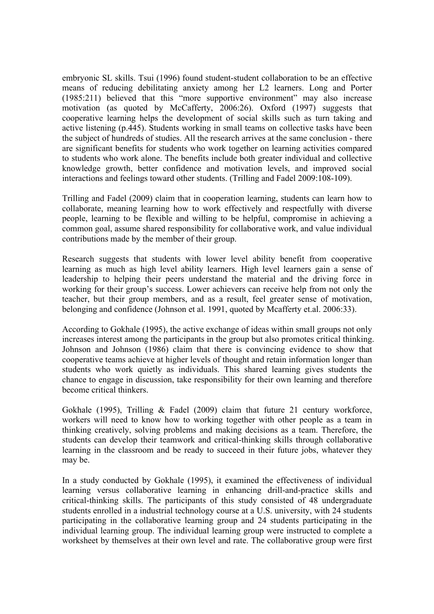embryonic SL skills. Tsui (1996) found student-student collaboration to be an effective means of reducing debilitating anxiety among her L2 learners. Long and Porter (1985:211) believed that this "more supportive environment" may also increase motivation (as quoted by McCafferty, 2006:26). Oxford (1997) suggests that cooperative learning helps the development of social skills such as turn taking and active listening (p.445). Students working in small teams on collective tasks have been the subject of hundreds of studies. All the research arrives at the same conclusion - there are significant benefits for students who work together on learning activities compared to students who work alone. The benefits include both greater individual and collective knowledge growth, better confidence and motivation levels, and improved social interactions and feelings toward other students. (Trilling and Fadel 2009:108-109).

Trilling and Fadel (2009) claim that in cooperation learning, students can learn how to collaborate, meaning learning how to work effectively and respectfully with diverse people, learning to be flexible and willing to be helpful, compromise in achieving a common goal, assume shared responsibility for collaborative work, and value individual contributions made by the member of their group.

Research suggests that students with lower level ability benefit from cooperative learning as much as high level ability learners. High level learners gain a sense of leadership to helping their peers understand the material and the driving force in working for their group's success. Lower achievers can receive help from not only the teacher, but their group members, and as a result, feel greater sense of motivation, belonging and confidence (Johnson et al. 1991, quoted by Mcafferty et.al. 2006:33).

According to Gokhale (1995), the active exchange of ideas within small groups not only increases interest among the participants in the group but also promotes critical thinking. Johnson and Johnson (1986) claim that there is convincing evidence to show that cooperative teams achieve at higher levels of thought and retain information longer than students who work quietly as individuals. This shared learning gives students the chance to engage in discussion, take responsibility for their own learning and therefore become critical thinkers.

Gokhale (1995), Trilling & Fadel (2009) claim that future 21 century workforce, workers will need to know how to working together with other people as a team in thinking creatively, solving problems and making decisions as a team. Therefore, the students can develop their teamwork and critical-thinking skills through collaborative learning in the classroom and be ready to succeed in their future jobs, whatever they may be.

In a study conducted by Gokhale (1995), it examined the effectiveness of individual learning versus collaborative learning in enhancing drill-and-practice skills and critical-thinking skills. The participants of this study consisted of 48 undergraduate students enrolled in a industrial technology course at a U.S. university, with 24 students participating in the collaborative learning group and 24 students participating in the individual learning group. The individual learning group were instructed to complete a worksheet by themselves at their own level and rate. The collaborative group were first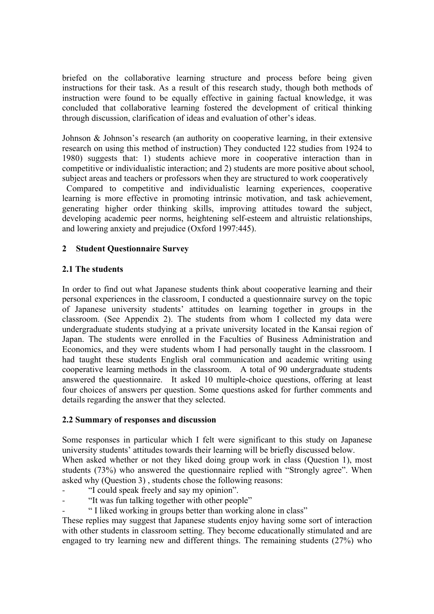briefed on the collaborative learning structure and process before being given instructions for their task. As a result of this research study, though both methods of instruction were found to be equally effective in gaining factual knowledge, it was concluded that collaborative learning fostered the development of critical thinking through discussion, clarification of ideas and evaluation of other's ideas.

Johnson & Johnson's research (an authority on cooperative learning, in their extensive research on using this method of instruction) They conducted 122 studies from 1924 to 1980) suggests that: 1) students achieve more in cooperative interaction than in competitive or individualistic interaction; and 2) students are more positive about school, subject areas and teachers or professors when they are structured to work cooperatively

Compared to competitive and individualistic learning experiences, cooperative learning is more effective in promoting intrinsic motivation, and task achievement, generating higher order thinking skills, improving attitudes toward the subject, developing academic peer norms, heightening self-esteem and altruistic relationships, and lowering anxiety and prejudice (Oxford 1997:445).

## **2 Student Questionnaire Survey**

## **2.1 The students**

In order to find out what Japanese students think about cooperative learning and their personal experiences in the classroom, I conducted a questionnaire survey on the topic of Japanese university students' attitudes on learning together in groups in the classroom. (See Appendix 2). The students from whom I collected my data were undergraduate students studying at a private university located in the Kansai region of Japan. The students were enrolled in the Faculties of Business Administration and Economics, and they were students whom I had personally taught in the classroom. I had taught these students English oral communication and academic writing using cooperative learning methods in the classroom. A total of 90 undergraduate students answered the questionnaire. It asked 10 multiple-choice questions, offering at least four choices of answers per question. Some questions asked for further comments and details regarding the answer that they selected.

## **2.2 Summary of responses and discussion**

Some responses in particular which I felt were significant to this study on Japanese university students' attitudes towards their learning will be briefly discussed below. When asked whether or not they liked doing group work in class (Ouestion 1), most students (73%) who answered the questionnaire replied with "Strongly agree". When asked why (Question 3) , students chose the following reasons:

- "I could speak freely and say my opinion".
- "It was fun talking together with other people"
- " I liked working in groups better than working alone in class"

These replies may suggest that Japanese students enjoy having some sort of interaction with other students in classroom setting. They become educationally stimulated and are engaged to try learning new and different things. The remaining students (27%) who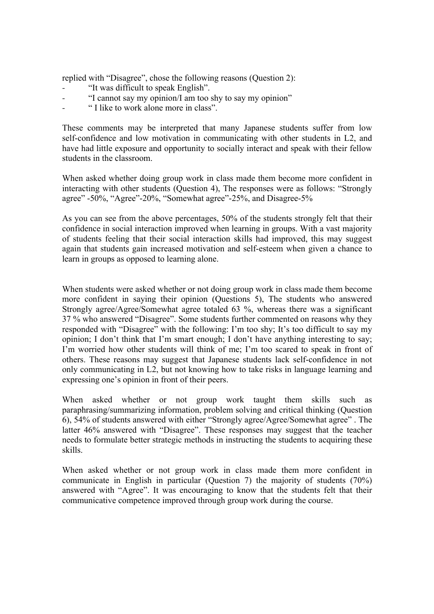replied with "Disagree", chose the following reasons (Question 2):

- "It was difficult to speak English".
- "I cannot say my opinion/I am too shy to say my opinion"
- " I like to work alone more in class".

These comments may be interpreted that many Japanese students suffer from low self-confidence and low motivation in communicating with other students in L2, and have had little exposure and opportunity to socially interact and speak with their fellow students in the classroom.

When asked whether doing group work in class made them become more confident in interacting with other students (Question 4), The responses were as follows: "Strongly agree" -50%, "Agree"-20%, "Somewhat agree"-25%, and Disagree-5%

As you can see from the above percentages, 50% of the students strongly felt that their confidence in social interaction improved when learning in groups. With a vast majority of students feeling that their social interaction skills had improved, this may suggest again that students gain increased motivation and self-esteem when given a chance to learn in groups as opposed to learning alone.

When students were asked whether or not doing group work in class made them become more confident in saying their opinion (Questions 5), The students who answered Strongly agree/Agree/Somewhat agree totaled 63 %, whereas there was a significant 37 % who answered "Disagree". Some students further commented on reasons why they responded with "Disagree" with the following: I'm too shy; It's too difficult to say my opinion; I don't think that I'm smart enough; I don't have anything interesting to say; I'm worried how other students will think of me; I'm too scared to speak in front of others. These reasons may suggest that Japanese students lack self-confidence in not only communicating in L2, but not knowing how to take risks in language learning and expressing one's opinion in front of their peers.

When asked whether or not group work taught them skills such as paraphrasing/summarizing information, problem solving and critical thinking (Question 6), 54% of students answered with either "Strongly agree/Agree/Somewhat agree" . The latter 46% answered with "Disagree". These responses may suggest that the teacher needs to formulate better strategic methods in instructing the students to acquiring these skills.

When asked whether or not group work in class made them more confident in communicate in English in particular (Question 7) the majority of students (70%) answered with "Agree". It was encouraging to know that the students felt that their communicative competence improved through group work during the course.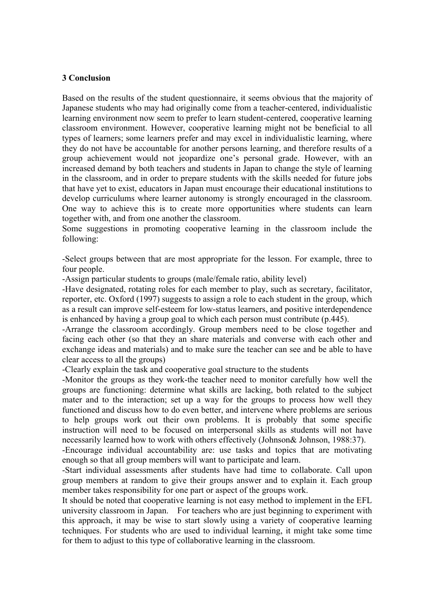### **3 Conclusion**

Based on the results of the student questionnaire, it seems obvious that the majority of Japanese students who may had originally come from a teacher-centered, individualistic learning environment now seem to prefer to learn student-centered, cooperative learning classroom environment. However, cooperative learning might not be beneficial to all types of learners; some learners prefer and may excel in individualistic learning, where they do not have be accountable for another persons learning, and therefore results of a group achievement would not jeopardize one's personal grade. However, with an increased demand by both teachers and students in Japan to change the style of learning in the classroom, and in order to prepare students with the skills needed for future jobs that have yet to exist, educators in Japan must encourage their educational institutions to develop curriculums where learner autonomy is strongly encouraged in the classroom. One way to achieve this is to create more opportunities where students can learn together with, and from one another the classroom.

Some suggestions in promoting cooperative learning in the classroom include the following:

-Select groups between that are most appropriate for the lesson. For example, three to four people.

-Assign particular students to groups (male/female ratio, ability level)

-Have designated, rotating roles for each member to play, such as secretary, facilitator, reporter, etc. Oxford (1997) suggests to assign a role to each student in the group, which as a result can improve self-esteem for low-status learners, and positive interdependence is enhanced by having a group goal to which each person must contribute (p.445).

-Arrange the classroom accordingly. Group members need to be close together and facing each other (so that they an share materials and converse with each other and exchange ideas and materials) and to make sure the teacher can see and be able to have clear access to all the groups)

-Clearly explain the task and cooperative goal structure to the students

-Monitor the groups as they work-the teacher need to monitor carefully how well the groups are functioning: determine what skills are lacking, both related to the subject mater and to the interaction; set up a way for the groups to process how well they functioned and discuss how to do even better, and intervene where problems are serious to help groups work out their own problems. It is probably that some specific instruction will need to be focused on interpersonal skills as students will not have necessarily learned how to work with others effectively (Johnson& Johnson, 1988:37).

-Encourage individual accountability are: use tasks and topics that are motivating enough so that all group members will want to participate and learn.

-Start individual assessments after students have had time to collaborate. Call upon group members at random to give their groups answer and to explain it. Each group member takes responsibility for one part or aspect of the groups work.

It should be noted that cooperative learning is not easy method to implement in the EFL university classroom in Japan. For teachers who are just beginning to experiment with this approach, it may be wise to start slowly using a variety of cooperative learning techniques. For students who are used to individual learning, it might take some time for them to adjust to this type of collaborative learning in the classroom.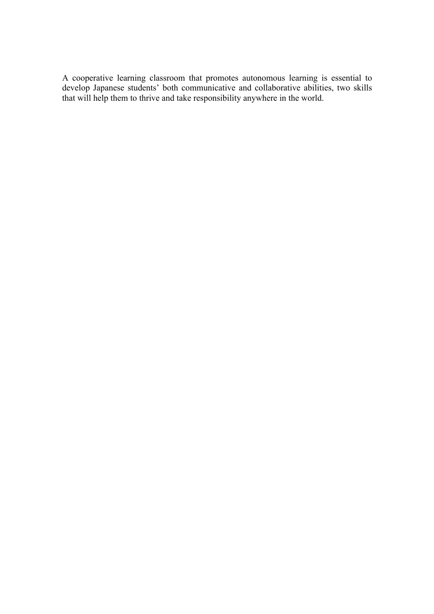A cooperative learning classroom that promotes autonomous learning is essential to develop Japanese students' both communicative and collaborative abilities, two skills that will help them to thrive and take responsibility anywhere in the world.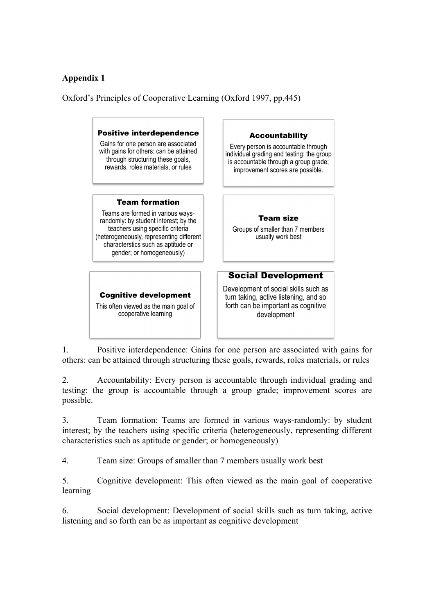# **Appendix 1**

Oxford's Principles of Cooperative Learning (Oxford 1997, pp.445)



1. Positive interdependence: Gains for one person are associated with gains for others: can be attained through structuring these goals, rewards, roles materials, or rules

2. Accountability: Every person is accountable through individual grading and testing: the group is accountable through a group grade; improvement scores are possible.

3. Team formation: Teams are formed in various ways-randomly: by student interest; by the teachers using specific criteria (heterogeneously, representing different characteristics such as aptitude or gender; or homogeneously)

4. Team size: Groups of smaller than 7 members usually work best

5. Cognitive development: This often viewed as the main goal of cooperative learning

6. Social development: Development of social skills such as turn taking, active listening and so forth can be as important as cognitive development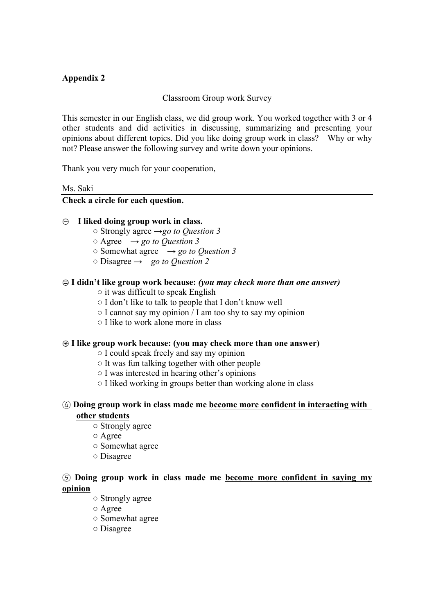# **Appendix 2**

# Classroom Group work Survey

This semester in our English class, we did group work. You worked together with 3 or 4 other students and did activities in discussing, summarizing and presenting your opinions about different topics. Did you like doing group work in class? Why or why not? Please answer the following survey and write down your opinions.

Thank you very much for your cooperation,

#### Ms. Saki

### **Check a circle for each question.**

### ① **I liked doing group work in class.**

- Strongly agree →*go to Question 3*
- $\circ$  Agree  $\rightarrow$  *go to Question 3*
- $\circ$  Somewhat agree  $\rightarrow$  *go to Ouestion 3*
- Disagree → *go to Question 2*

### ② **I didn't like group work because:** *(you may check more than one answer)*

- $\circ$  it was difficult to speak English
- I don't like to talk to people that I don't know well
- $\circ$  I cannot say my opinion / I am too shy to say my opinion
- I like to work alone more in class

### ③ **I like group work because: (you may check more than one answer)**

- I could speak freely and say my opinion
- It was fun talking together with other people
- I was interested in hearing other's opinions
- I liked working in groups better than working alone in class

### ④ **Doing group work in class made me become more confident in interacting with other students**

- Strongly agree
- Agree
- Somewhat agree
- Disagree

## ⑤ **Doing group work in class made me become more confident in saying my opinion**

- Strongly agree
- Agree
- Somewhat agree
- Disagree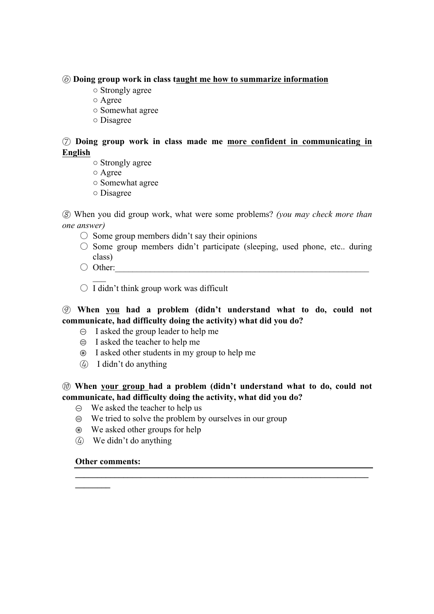### ⑥ **Doing group work in class taught me how to summarize information**

- Strongly agree
- Agree
- Somewhat agree
- Disagree

# ⑦ **Doing group work in class made me more confident in communicating in English**

- Strongly agree
- Agree
- Somewhat agree
- Disagree

⑧ When you did group work, what were some problems? *(you may check more than one answer)*

- $\circ$  Some group members didn't say their opinions
- $\circ$  Some group members didn't participate (sleeping, used phone, etc.. during class)
- $\bigcirc$  Other:

 $\mathcal{L}_\mathcal{L}$ 

 $\bigcirc$  I didn't think group work was difficult

# ⑨ **When you had a problem (didn't understand what to do, could not communicate, had difficulty doing the activity) what did you do?**

- $\Theta$  I asked the group leader to help me
- $\oplus$  I asked the teacher to help me
- ③ I asked other students in my group to help me
- ④ I didn't do anything

# ⑩ **When your group had a problem (didn't understand what to do, could not communicate, had difficulty doing the activity, what did you do?**

 $\mathcal{L} = \{ \mathcal{L} \mathcal{L} \mathcal{L} \mathcal{L} \mathcal{L} \mathcal{L} \mathcal{L} \mathcal{L} \mathcal{L} \mathcal{L} \mathcal{L} \mathcal{L} \mathcal{L} \mathcal{L} \mathcal{L} \mathcal{L} \mathcal{L} \mathcal{L} \mathcal{L} \mathcal{L} \mathcal{L} \mathcal{L} \mathcal{L} \mathcal{L} \mathcal{L} \mathcal{L} \mathcal{L} \mathcal{L} \mathcal{L} \mathcal{L} \mathcal{L} \mathcal{L} \mathcal{L} \mathcal{L} \mathcal{L} \$ 

- $\Theta$  We asked the teacher to help us
- $\oplus$  We tried to solve the problem by ourselves in our group
- ③ We asked other groups for help
- ④ We didn't do anything

### **Other comments:**

**\_\_\_\_\_\_\_\_**